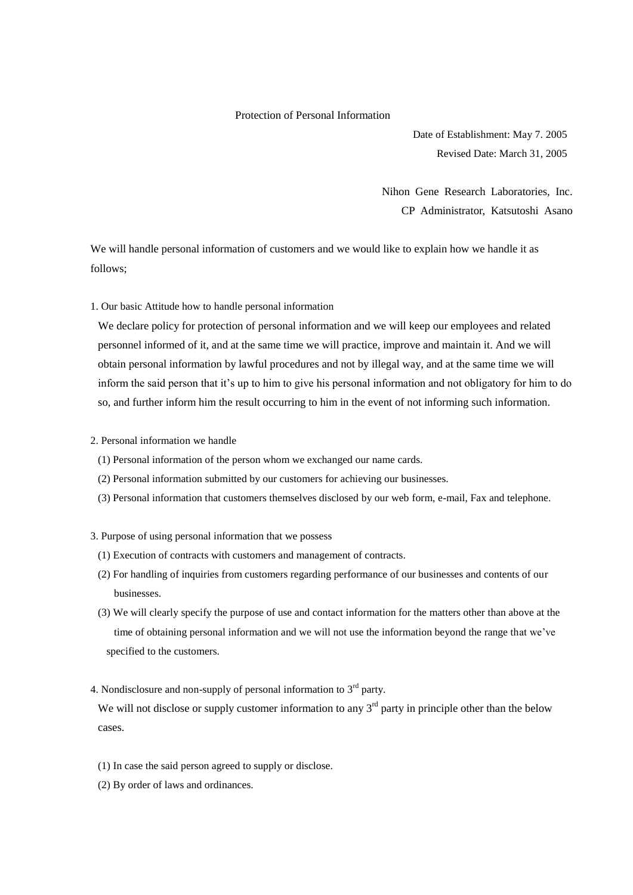## Protection of Personal Information

Date of Establishment: May 7. 2005 Revised Date: March 31, 2005

Nihon Gene Research Laboratories, Inc. CP Administrator, Katsutoshi Asano

We will handle personal information of customers and we would like to explain how we handle it as follows;

1. Our basic Attitude how to handle personal information

We declare policy for protection of personal information and we will keep our employees and related personnel informed of it, and at the same time we will practice, improve and maintain it. And we will obtain personal information by lawful procedures and not by illegal way, and at the same time we will inform the said person that it's up to him to give his personal information and not obligatory for him to do so, and further inform him the result occurring to him in the event of not informing such information.

- 2. Personal information we handle
	- (1) Personal information of the person whom we exchanged our name cards.
	- (2) Personal information submitted by our customers for achieving our businesses.
	- (3) Personal information that customers themselves disclosed by our web form, e-mail, Fax and telephone.

## 3. Purpose of using personal information that we possess

- (1) Execution of contracts with customers and management of contracts.
- (2) For handling of inquiries from customers regarding performance of our businesses and contents of our businesses.
- (3) We will clearly specify the purpose of use and contact information for the matters other than above at the time of obtaining personal information and we will not use the information beyond the range that we've specified to the customers.
- 4. Nondisclosure and non-supply of personal information to  $3<sup>rd</sup>$  party.

We will not disclose or supply customer information to any  $3<sup>rd</sup>$  party in principle other than the below cases.

- (1) In case the said person agreed to supply or disclose.
- (2) By order of laws and ordinances.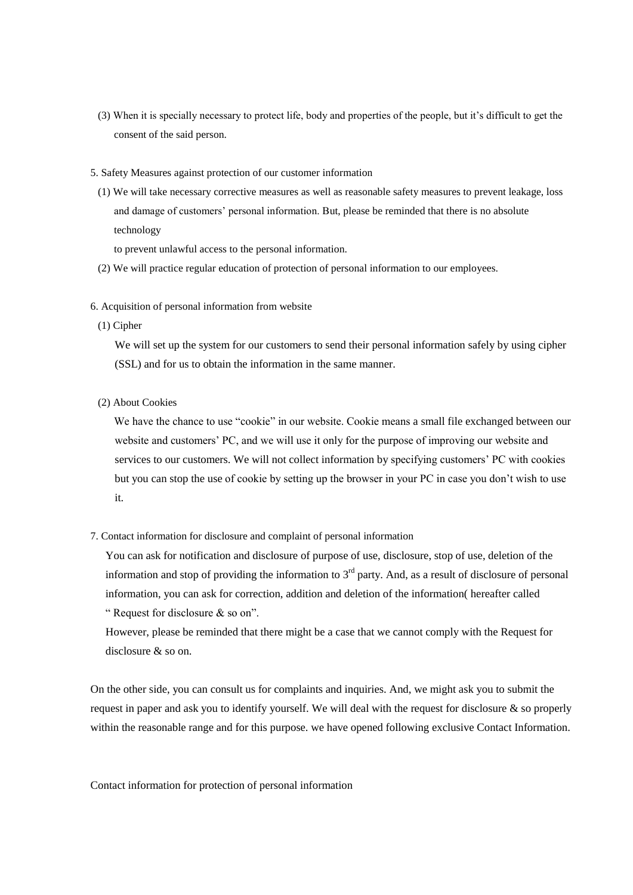- (3) When it is specially necessary to protect life, body and properties of the people, but it's difficult to get the consent of the said person.
- 5. Safety Measures against protection of our customer information
- (1) We will take necessary corrective measures as well as reasonable safety measures to prevent leakage, loss and damage of customers' personal information. But, please be reminded that there is no absolute technology

to prevent unlawful access to the personal information.

- (2) We will practice regular education of protection of personal information to our employees.
- 6. Acquisition of personal information from website
- (1) Cipher

We will set up the system for our customers to send their personal information safely by using cipher (SSL) and for us to obtain the information in the same manner.

(2) About Cookies

 We have the chance to use "cookie" in our website. Cookie means a small file exchanged between our website and customers' PC, and we will use it only for the purpose of improving our website and services to our customers. We will not collect information by specifying customers' PC with cookies but you can stop the use of cookie by setting up the browser in your PC in case you don't wish to use it.

7. Contact information for disclosure and complaint of personal information

You can ask for notification and disclosure of purpose of use, disclosure, stop of use, deletion of the information and stop of providing the information to  $3<sup>rd</sup>$  party. And, as a result of disclosure of personal information, you can ask for correction, addition and deletion of the information( hereafter called " Request for disclosure  $\&$  so on".

However, please be reminded that there might be a case that we cannot comply with the Request for disclosure & so on.

On the other side, you can consult us for complaints and inquiries. And, we might ask you to submit the request in paper and ask you to identify yourself. We will deal with the request for disclosure & so properly within the reasonable range and for this purpose. we have opened following exclusive Contact Information.

Contact information for protection of personal information